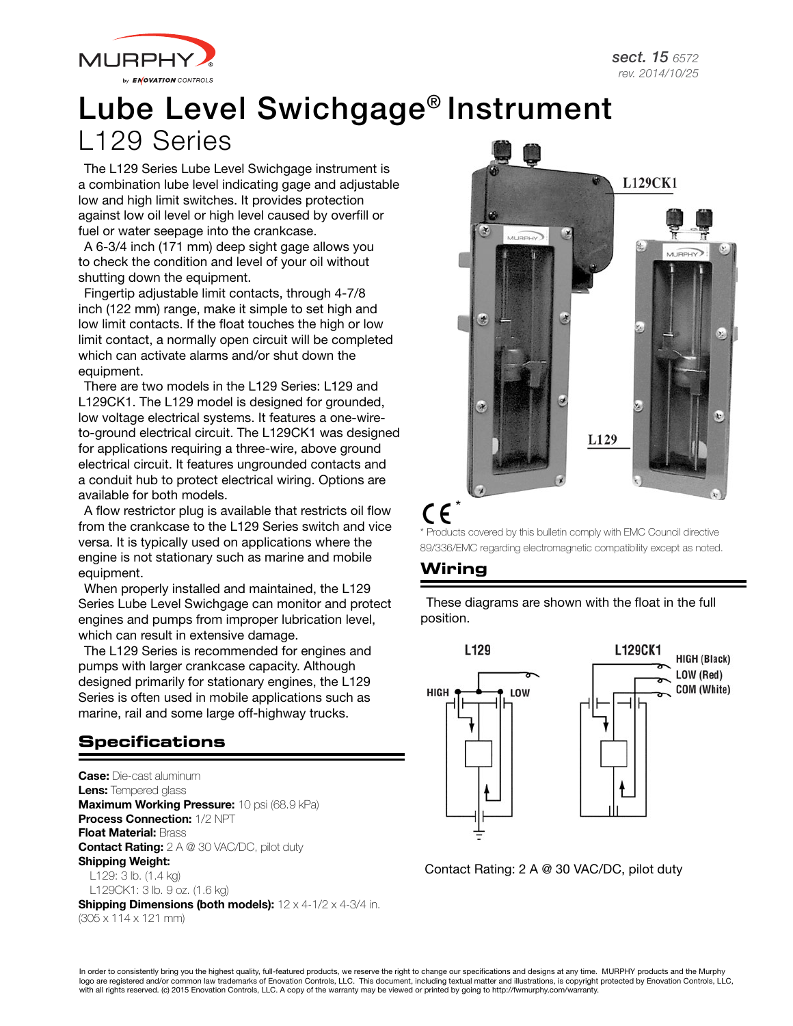

# Lube Level Swichgage® Instrument L129 Series

The L129 Series Lube Level Swichgage instrument is a combination lube level indicating gage and adjustable low and high limit switches. It provides protection against low oil level or high level caused by overfill or fuel or water seepage into the crankcase.

A 6-3/4 inch (171 mm) deep sight gage allows you to check the condition and level of your oil without shutting down the equipment.

Fingertip adjustable limit contacts, through 4-7/8 inch (122 mm) range, make it simple to set high and low limit contacts. If the float touches the high or low limit contact, a normally open circuit will be completed which can activate alarms and/or shut down the equipment.

There are two models in the L129 Series: L129 and L129CK1. The L129 model is designed for grounded, low voltage electrical systems. It features a one-wireto-ground electrical circuit. The L129CK1 was designed for applications requiring a three-wire, above ground electrical circuit. It features ungrounded contacts and a conduit hub to protect electrical wiring. Options are available for both models.

A flow restrictor plug is available that restricts oil flow from the crankcase to the L129 Series switch and vice versa. It is typically used on applications where the engine is not stationary such as marine and mobile equipment.

When properly installed and maintained, the L129 Series Lube Level Swichgage can monitor and protect engines and pumps from improper lubrication level, which can result in extensive damage.

The L129 Series is recommended for engines and pumps with larger crankcase capacity. Although designed primarily for stationary engines, the L129 Series is often used in mobile applications such as marine, rail and some large off-highway trucks.

# **Specifications**

**Case:** Die-cast aluminum Lens: Tempered glass Maximum Working Pressure: 10 psi (68.9 kPa) Process Connection: 1/2 NPT Float Material: Brass **Contact Rating:** 2 A @ 30 VAC/DC, pilot duty Shipping Weight:

L129: 3 lb. (1.4 kg) L129CK1: 3 lb. 9 oz. (1.6 kg)

**Shipping Dimensions (both models):**  $12 \times 4 - 1/2 \times 4 - 3/4$  in. (305 x 114 x 121 mm)



\* Products covered by this bulletin comply with EMC Council directive 89/336/EMC regarding electromagnetic compatibility except as noted.

## **Wiring**

These diagrams are shown with the float in the full position.



Contact Rating: 2 A @ 30 VAC/DC, pilot duty

In order to consistently bring you the highest quality, full-featured products, we reserve the right to change our specifications and designs at any time. MURPHY products and the Murphy logo are registered and/or common law trademarks of Enovation Controls, LLC. This document, including textual matter and illustrations, is copyright protected by Enovation Controls, LLC, with all rights reserved. (c) 2015 Enovation Controls, LLC. A copy of the warranty may be viewed or printed by going to http://fwmurphy.com/warranty.